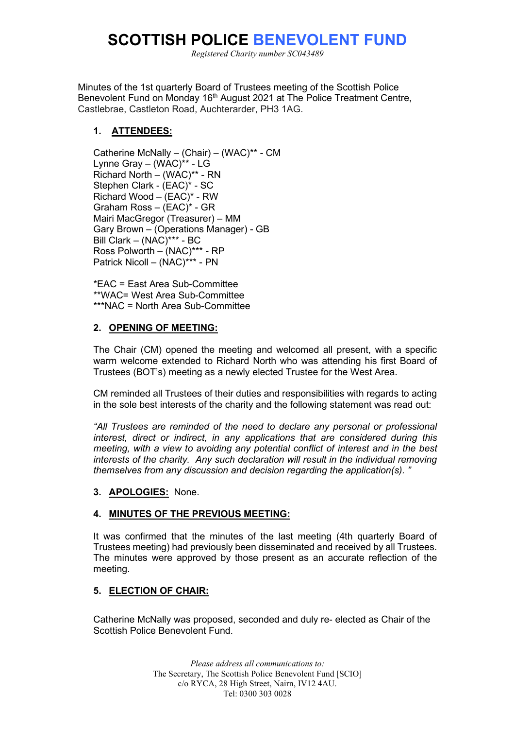# **SCOTTISH POLICE BENEVOLENT FUND**

*Registered Charity number SC043489*

Minutes of the 1st quarterly Board of Trustees meeting of the Scottish Police Benevolent Fund on Monday 16<sup>th</sup> August 2021 at The Police Treatment Centre, Castlebrae, Castleton Road, Auchterarder, PH3 1AG.

# **1. ATTENDEES:**

Catherine McNally – (Chair) – (WAC)\*\* - CM Lynne Gray – (WAC)\*\* - LG Richard North – (WAC)\*\* - RN Stephen Clark - (EAC)\* - SC Richard Wood – (EAC)\* - RW Graham Ross – (EAC)\* - GR Mairi MacGregor (Treasurer) – MM Gary Brown – (Operations Manager) - GB Bill Clark – (NAC)\*\*\* - BC Ross Polworth – (NAC)\*\*\* - RP Patrick Nicoll – (NAC)\*\*\* - PN

\*EAC = East Area Sub-Committee \*\*WAC= West Area Sub-Committee \*\*\*NAC = North Area Sub-Committee

# **2. OPENING OF MEETING:**

The Chair (CM) opened the meeting and welcomed all present, with a specific warm welcome extended to Richard North who was attending his first Board of Trustees (BOT's) meeting as a newly elected Trustee for the West Area.

CM reminded all Trustees of their duties and responsibilities with regards to acting in the sole best interests of the charity and the following statement was read out:

*"All Trustees are reminded of the need to declare any personal or professional interest, direct or indirect, in any applications that are considered during this meeting, with a view to avoiding any potential conflict of interest and in the best interests of the charity. Any such declaration will result in the individual removing themselves from any discussion and decision regarding the application(s). "*

# **3. APOLOGIES:** None.

# **4. MINUTES OF THE PREVIOUS MEETING:**

It was confirmed that the minutes of the last meeting (4th quarterly Board of Trustees meeting) had previously been disseminated and received by all Trustees. The minutes were approved by those present as an accurate reflection of the meeting.

# **5. ELECTION OF CHAIR:**

Catherine McNally was proposed, seconded and duly re- elected as Chair of the Scottish Police Benevolent Fund.

> *Please address all communications to:* The Secretary, The Scottish Police Benevolent Fund [SCIO] c/o RYCA, 28 High Street, Nairn, IV12 4AU. Tel: 0300 303 0028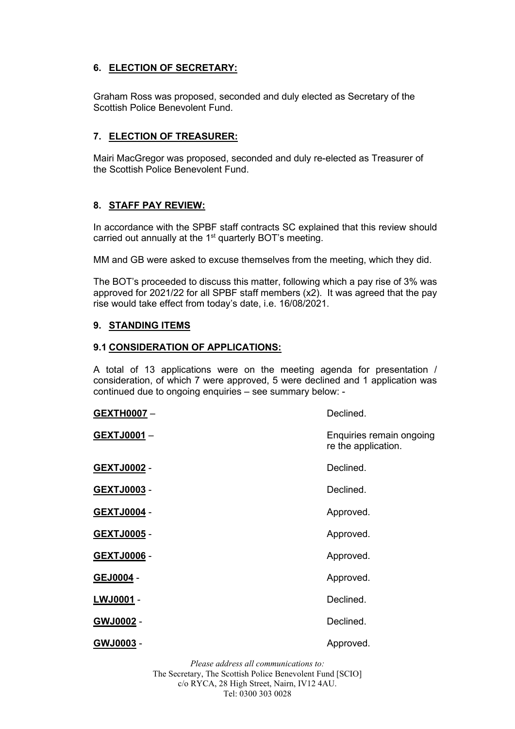# **6. ELECTION OF SECRETARY:**

Graham Ross was proposed, seconded and duly elected as Secretary of the Scottish Police Benevolent Fund.

## **7. ELECTION OF TREASURER:**

Mairi MacGregor was proposed, seconded and duly re-elected as Treasurer of the Scottish Police Benevolent Fund.

## **8. STAFF PAY REVIEW:**

In accordance with the SPBF staff contracts SC explained that this review should carried out annually at the 1<sup>st</sup> quarterly BOT's meeting.

MM and GB were asked to excuse themselves from the meeting, which they did.

The BOT's proceeded to discuss this matter, following which a pay rise of 3% was approved for 2021/22 for all SPBF staff members (x2). It was agreed that the pay rise would take effect from today's date, i.e. 16/08/2021.

## **9. STANDING ITEMS**

#### **9.1 CONSIDERATION OF APPLICATIONS:**

A total of 13 applications were on the meeting agenda for presentation / consideration, of which 7 were approved, 5 were declined and 1 application was continued due to ongoing enquiries – see summary below: -

GEXTJ0003 - **Declined.** 

re the application.

#### GEXTH0007 – **Declined.**

**GEXTJ0001** – **Enquiries remain ongoing** 

GEXTJ0002 - **Declined.** 

GEXTJ0004 - **Approved.** 

GEXTJ0005 - **Approved.** 

GEXTJ0006 - **Approved.** 

GEJ0004 - **Approved.** 

**LWJ0001** - Declined.

**GWJ0002** - Declined.

GWJ0003 - **Approved.** 

*Please address all communications to:* The Secretary, The Scottish Police Benevolent Fund [SCIO] c/o RYCA, 28 High Street, Nairn, IV12 4AU. Tel: 0300 303 0028